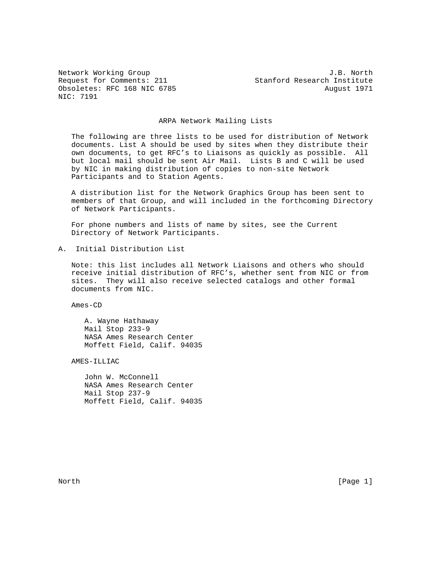Obsoletes: RFC 168 NIC 6785 August 1971 NIC: 7191

Network Working Group J.B. North Request for Comments: 211 Stanford Research Institute

#### ARPA Network Mailing Lists

 The following are three lists to be used for distribution of Network documents. List A should be used by sites when they distribute their own documents, to get RFC's to Liaisons as quickly as possible. All but local mail should be sent Air Mail. Lists B and C will be used by NIC in making distribution of copies to non-site Network Participants and to Station Agents.

 A distribution list for the Network Graphics Group has been sent to members of that Group, and will included in the forthcoming Directory of Network Participants.

 For phone numbers and lists of name by sites, see the Current Directory of Network Participants.

A. Initial Distribution List

 Note: this list includes all Network Liaisons and others who should receive initial distribution of RFC's, whether sent from NIC or from sites. They will also receive selected catalogs and other formal documents from NIC.

Ames-CD

 A. Wayne Hathaway Mail Stop 233-9 NASA Ames Research Center Moffett Field, Calif. 94035

AMES-ILLIAC

 John W. McConnell NASA Ames Research Center Mail Stop 237-9 Moffett Field, Calif. 94035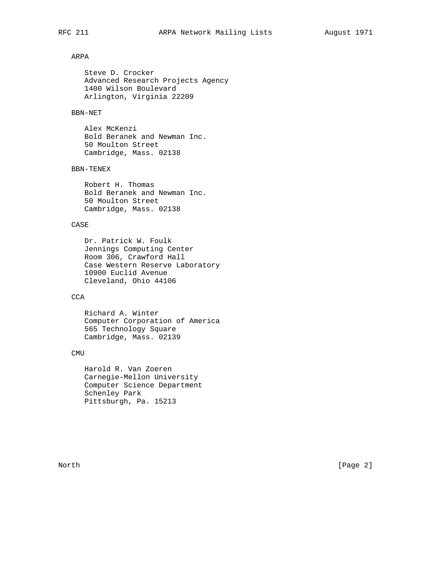# ARPA

 Steve D. Crocker Advanced Research Projects Agency 1400 Wilson Boulevard Arlington, Virginia 22209

## BBN-NET

 Alex McKenzi Bold Beranek and Newman Inc. 50 Moulton Street Cambridge, Mass. 02138

#### BBN-TENEX

 Robert H. Thomas Bold Beranek and Newman Inc. 50 Moulton Street Cambridge, Mass. 02138

### CASE

 Dr. Patrick W. Foulk Jennings Computing Center Room 306, Crawford Hall Case Western Reserve Laboratory 10900 Euclid Avenue Cleveland, Ohio 44106

# **CCA**

 Richard A. Winter Computer Corporation of America 565 Technology Square Cambridge, Mass. 02139

#### CMU

 Harold R. Van Zoeren Carnegie-Mellon University Computer Science Department Schenley Park Pittsburgh, Pa. 15213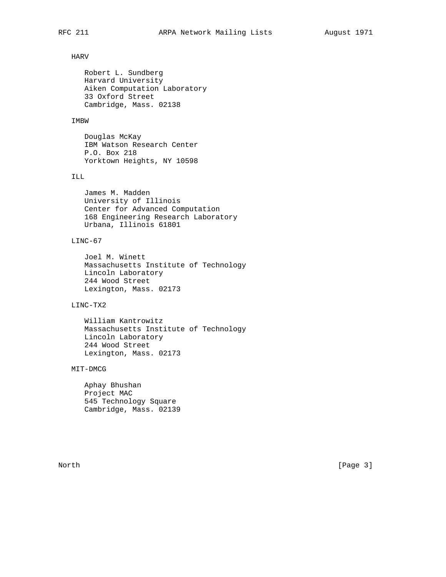#### HARV

 Robert L. Sundberg Harvard University Aiken Computation Laboratory 33 Oxford Street Cambridge, Mass. 02138

## IMBW

 Douglas McKay IBM Watson Research Center P.O. Box 218 Yorktown Heights, NY 10598

#### ILL

 James M. Madden University of Illinois Center for Advanced Computation 168 Engineering Research Laboratory Urbana, Illinois 61801

## LINC-67

 Joel M. Winett Massachusetts Institute of Technology Lincoln Laboratory 244 Wood Street Lexington, Mass. 02173

# LINC-TX2

 William Kantrowitz Massachusetts Institute of Technology Lincoln Laboratory 244 Wood Street Lexington, Mass. 02173

#### MIT-DMCG

 Aphay Bhushan Project MAC 545 Technology Square Cambridge, Mass. 02139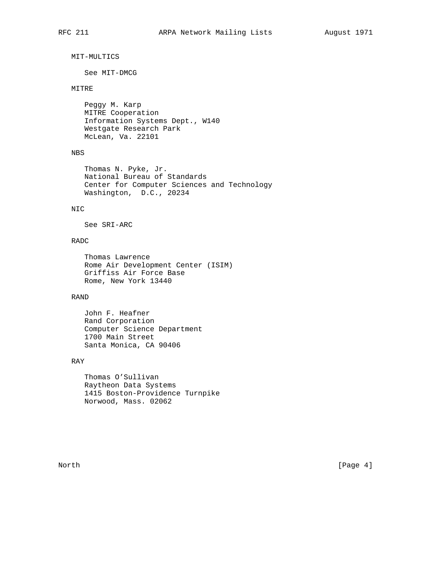```
 MIT-MULTICS
```
See MIT-DMCG

## MITRE

 Peggy M. Karp MITRE Cooperation Information Systems Dept., W140 Westgate Research Park McLean, Va. 22101

## NBS

 Thomas N. Pyke, Jr. National Bureau of Standards Center for Computer Sciences and Technology Washington, D.C., 20234

## NIC

See SRI-ARC

## RADC

```
 Thomas Lawrence
Rome Air Development Center (ISIM)
Griffiss Air Force Base
Rome, New York 13440
```
# RAND

```
 John F. Heafner
Rand Corporation
Computer Science Department
1700 Main Street
Santa Monica, CA 90406
```
#### RAY

 Thomas O'Sullivan Raytheon Data Systems 1415 Boston-Providence Turnpike Norwood, Mass. 02062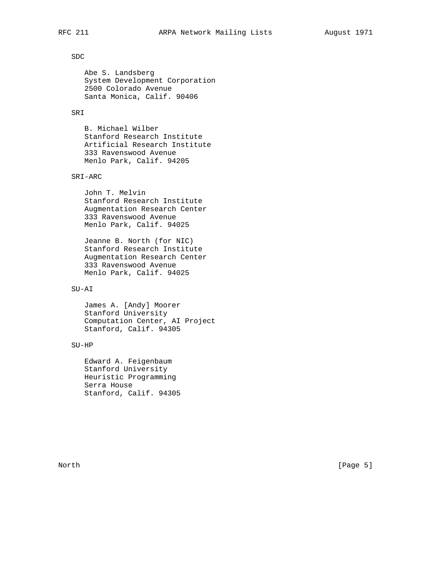## SDC

 Abe S. Landsberg System Development Corporation 2500 Colorado Avenue Santa Monica, Calif. 90406

#### SRI

 B. Michael Wilber Stanford Research Institute Artificial Research Institute 333 Ravenswood Avenue Menlo Park, Calif. 94205

#### SRI-ARC

 John T. Melvin Stanford Research Institute Augmentation Research Center 333 Ravenswood Avenue Menlo Park, Calif. 94025

 Jeanne B. North (for NIC) Stanford Research Institute Augmentation Research Center 333 Ravenswood Avenue Menlo Park, Calif. 94025

## SU-AI

 James A. [Andy] Moorer Stanford University Computation Center, AI Project Stanford, Calif. 94305

## SU-HP

 Edward A. Feigenbaum Stanford University Heuristic Programming Serra House Stanford, Calif. 94305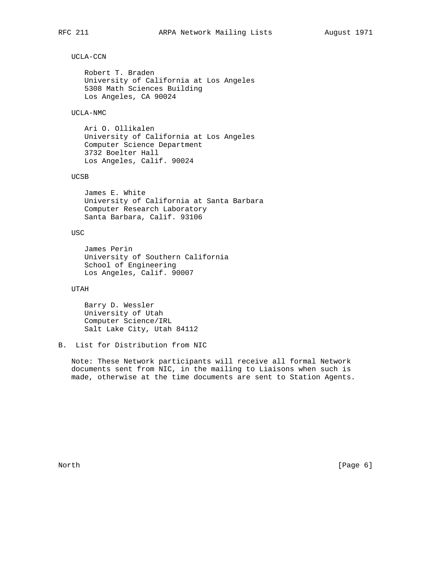## UCLA-CCN

 Robert T. Braden University of California at Los Angeles 5308 Math Sciences Building Los Angeles, CA 90024

#### UCLA-NMC

 Ari O. Ollikalen University of California at Los Angeles Computer Science Department 3732 Boelter Hall Los Angeles, Calif. 90024

#### UCSB

 James E. White University of California at Santa Barbara Computer Research Laboratory Santa Barbara, Calif. 93106

## USC

 James Perin University of Southern California School of Engineering Los Angeles, Calif. 90007

## UTAH

 Barry D. Wessler University of Utah Computer Science/IRL Salt Lake City, Utah 84112

## B. List for Distribution from NIC

 Note: These Network participants will receive all formal Network documents sent from NIC, in the mailing to Liaisons when such is made, otherwise at the time documents are sent to Station Agents.

North [Page 6]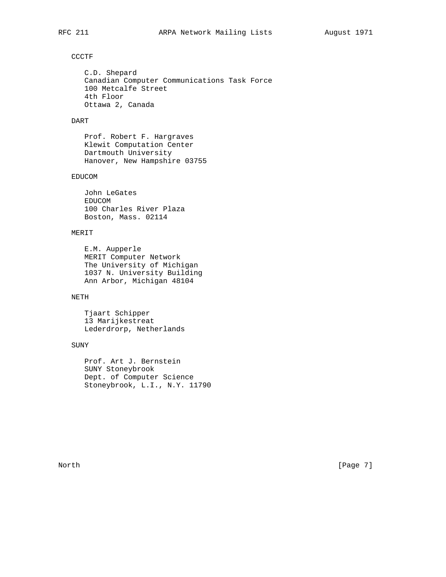### CCCTF

```
 C.D. Shepard
Canadian Computer Communications Task Force
100 Metcalfe Street
4th Floor
Ottawa 2, Canada
```
## DART

 Prof. Robert F. Hargraves Klewit Computation Center Dartmouth University Hanover, New Hampshire 03755

#### EDUCOM

 John LeGates EDUCOM 100 Charles River Plaza Boston, Mass. 02114

## MERIT

 E.M. Aupperle MERIT Computer Network The University of Michigan 1037 N. University Building Ann Arbor, Michigan 48104

# NETH

 Tjaart Schipper 13 Marijkestreat Lederdrorp, Netherlands

#### SUNY

 Prof. Art J. Bernstein SUNY Stoneybrook Dept. of Computer Science Stoneybrook, L.I., N.Y. 11790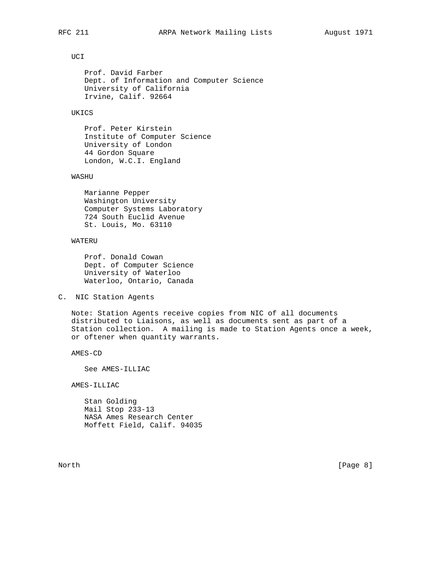## UCI

 Prof. David Farber Dept. of Information and Computer Science University of California Irvine, Calif. 92664

#### UKICS

 Prof. Peter Kirstein Institute of Computer Science University of London 44 Gordon Square London, W.C.I. England

#### WASHU

 Marianne Pepper Washington University Computer Systems Laboratory 724 South Euclid Avenue St. Louis, Mo. 63110

## WATERU

 Prof. Donald Cowan Dept. of Computer Science University of Waterloo Waterloo, Ontario, Canada

#### C. NIC Station Agents

 Note: Station Agents receive copies from NIC of all documents distributed to Liaisons, as well as documents sent as part of a Station collection. A mailing is made to Station Agents once a week, or oftener when quantity warrants.

AMES-CD

See AMES-ILLIAC

AMES-ILLIAC

 Stan Golding Mail Stop 233-13 NASA Ames Research Center Moffett Field, Calif. 94035

North [Page 8]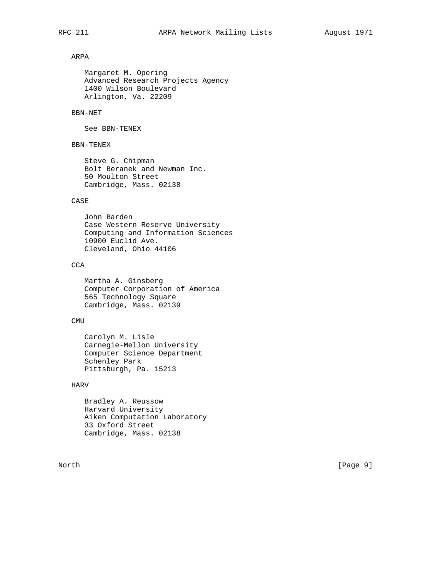# ARPA

 Margaret M. Opering Advanced Research Projects Agency 1400 Wilson Boulevard Arlington, Va. 22209

## BBN-NET

See BBN-TENEX

## BBN-TENEX

 Steve G. Chipman Bolt Beranek and Newman Inc. 50 Moulton Street Cambridge, Mass. 02138

## CASE

 John Barden Case Western Reserve University Computing and Information Sciences 10900 Euclid Ave. Cleveland, Ohio 44106

## **CCA**

 Martha A. Ginsberg Computer Corporation of America 565 Technology Square Cambridge, Mass. 02139

#### CMU

 Carolyn M. Lisle Carnegie-Mellon University Computer Science Department Schenley Park Pittsburgh, Pa. 15213

## HARV

 Bradley A. Reussow Harvard University Aiken Computation Laboratory 33 Oxford Street Cambridge, Mass. 02138

North [Page 9]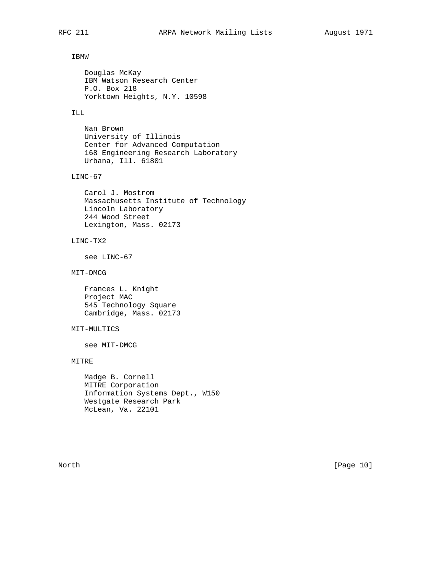## IBMW

 Douglas McKay IBM Watson Research Center P.O. Box 218 Yorktown Heights, N.Y. 10598

## ILL

 Nan Brown University of Illinois Center for Advanced Computation 168 Engineering Research Laboratory Urbana, Ill. 61801

#### LINC-67

 Carol J. Mostrom Massachusetts Institute of Technology Lincoln Laboratory 244 Wood Street Lexington, Mass. 02173

## LINC-TX2

see LINC-67

## MIT-DMCG

 Frances L. Knight Project MAC 545 Technology Square Cambridge, Mass. 02173

## MIT-MULTICS

see MIT-DMCG

## MITRE

 Madge B. Cornell MITRE Corporation Information Systems Dept., W150 Westgate Research Park McLean, Va. 22101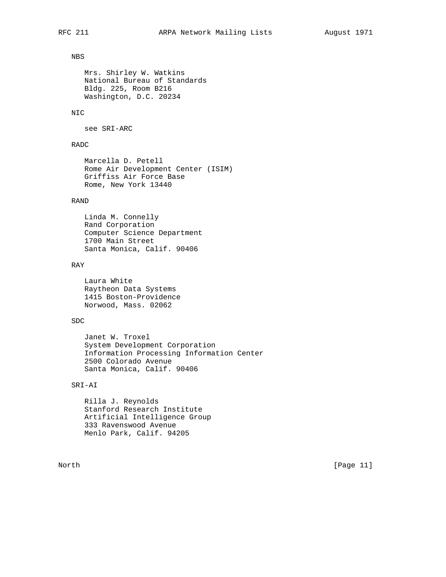# NBS

```
 Mrs. Shirley W. Watkins
National Bureau of Standards
Bldg. 225, Room B216
Washington, D.C. 20234
```
## NIC

see SRI-ARC

## RADC

```
 Marcella D. Petell
Rome Air Development Center (ISIM)
Griffiss Air Force Base
Rome, New York 13440
```
## RAND

```
 Linda M. Connelly
Rand Corporation
Computer Science Department
1700 Main Street
Santa Monica, Calif. 90406
```
#### RAY

 Laura White Raytheon Data Systems 1415 Boston-Providence Norwood, Mass. 02062

## SDC

```
 Janet W. Troxel
System Development Corporation
Information Processing Information Center
2500 Colorado Avenue
Santa Monica, Calif. 90406
```
## SRI-AI

 Rilla J. Reynolds Stanford Research Institute Artificial Intelligence Group 333 Ravenswood Avenue Menlo Park, Calif. 94205

North [Page 11]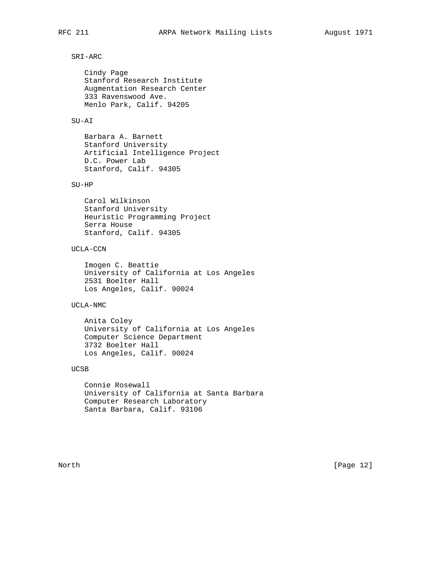## SRI-ARC

 Cindy Page Stanford Research Institute Augmentation Research Center 333 Ravenswood Ave. Menlo Park, Calif. 94205

## SU-AI

 Barbara A. Barnett Stanford University Artificial Intelligence Project D.C. Power Lab Stanford, Calif. 94305

## SU-HP

 Carol Wilkinson Stanford University Heuristic Programming Project Serra House Stanford, Calif. 94305

## UCLA-CCN

 Imogen C. Beattie University of California at Los Angeles 2531 Boelter Hall Los Angeles, Calif. 90024

#### UCLA-NMC

 Anita Coley University of California at Los Angeles Computer Science Department 3732 Boelter Hall Los Angeles, Calif. 90024

#### UCSB

 Connie Rosewall University of California at Santa Barbara Computer Research Laboratory Santa Barbara, Calif. 93106